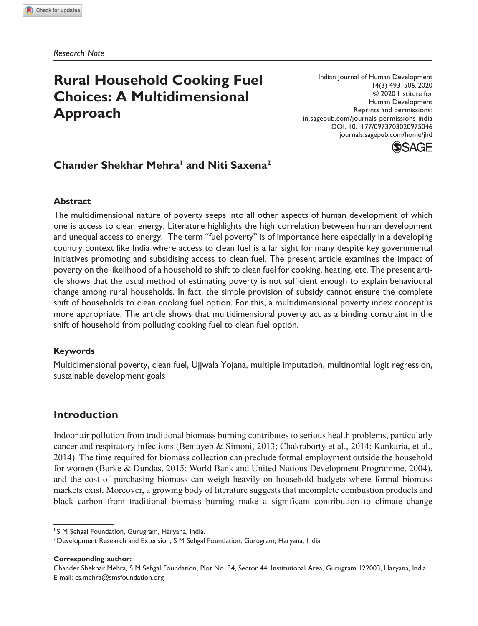*Research Note*

# **Rural Household Cooking Fuel Choices: A Multidimensional Approach**

Indian Journal of Human Development 14(3) 493–506, 2020 © 2020 Institute for Human Development Reprints and permissions: in.sagepub.com/journals-permissions-india DOI: 10.1177/0973703020975046 journals.sagepub.com/home/jhd



## **Chander Shekhar Mehra<sup>1</sup> and Niti Saxena<sup>2</sup>**

#### **Abstract**

The multidimensional nature of poverty seeps into all other aspects of human development of which one is access to clean energy. Literature highlights the high correlation between human development and unequal access to energy.<sup>1</sup> The term "fuel poverty" is of importance here especially in a developing country context like India where access to clean fuel is a far sight for many despite key governmental initiatives promoting and subsidising access to clean fuel. The present article examines the impact of poverty on the likelihood of a household to shift to clean fuel for cooking, heating, etc. The present article shows that the usual method of estimating poverty is not sufficient enough to explain behavioural change among rural households. In fact, the simple provision of subsidy cannot ensure the complete shift of households to clean cooking fuel option. For this, a multidimensional poverty index concept is more appropriate. The article shows that multidimensional poverty act as a binding constraint in the shift of household from polluting cooking fuel to clean fuel option.

#### **Keywords**

Multidimensional poverty, clean fuel, Ujjwala Yojana, multiple imputation, multinomial logit regression, sustainable development goals

## **Introduction**

Indoor air pollution from traditional biomass burning contributes to serious health problems, particularly cancer and respiratory infections (Bentayeb & Simoni, 2013; Chakraborty et al., 2014; Kankaria, et al., 2014). The time required for biomass collection can preclude formal employment outside the household for women (Burke & Dundas, 2015; World Bank and United Nations Development Programme, 2004), and the cost of purchasing biomass can weigh heavily on household budgets where formal biomass markets exist. Moreover, a growing body of literature suggests that incomplete combustion products and black carbon from traditional biomass burning make a significant contribution to climate change

**Corresponding author:**

<sup>&</sup>lt;sup>1</sup> S M Sehgal Foundation, Gurugram, Haryana, India.

<sup>2</sup> Development Research and Extension, S M Sehgal Foundation, Gurugram, Haryana, India.

Chander Shekhar Mehra, S M Sehgal Foundation, Plot No. 34, Sector 44, Institutional Area, Gurugram 122003, Haryana, India. E-mail: cs.mehra@smsfoundation.org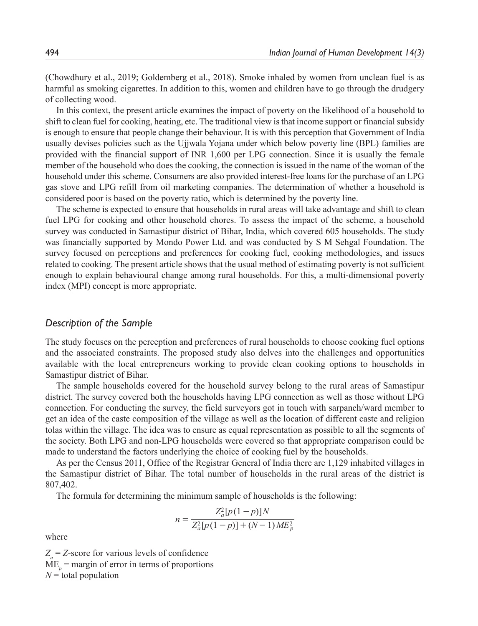(Chowdhury et al., 2019; Goldemberg et al., 2018). Smoke inhaled by women from unclean fuel is as harmful as smoking cigarettes. In addition to this, women and children have to go through the drudgery of collecting wood.

In this context, the present article examines the impact of poverty on the likelihood of a household to shift to clean fuel for cooking, heating, etc. The traditional view is that income support or financial subsidy is enough to ensure that people change their behaviour. It is with this perception that Government of India usually devises policies such as the Ujjwala Yojana under which below poverty line (BPL) families are provided with the financial support of INR 1,600 per LPG connection. Since it is usually the female member of the household who does the cooking, the connection is issued in the name of the woman of the household under this scheme. Consumers are also provided interest-free loans for the purchase of an LPG gas stove and LPG refill from oil marketing companies. The determination of whether a household is considered poor is based on the poverty ratio, which is determined by the poverty line.

The scheme is expected to ensure that households in rural areas will take advantage and shift to clean fuel LPG for cooking and other household chores. To assess the impact of the scheme, a household survey was conducted in Samastipur district of Bihar, India, which covered 605 households. The study was financially supported by Mondo Power Ltd. and was conducted by S M Sehgal Foundation. The survey focused on perceptions and preferences for cooking fuel, cooking methodologies, and issues related to cooking. The present article shows that the usual method of estimating poverty is not sufficient enough to explain behavioural change among rural households. For this, a multi-dimensional poverty index (MPI) concept is more appropriate.

## *Description of the Sample*

The study focuses on the perception and preferences of rural households to choose cooking fuel options and the associated constraints. The proposed study also delves into the challenges and opportunities available with the local entrepreneurs working to provide clean cooking options to households in Samastipur district of Bihar.

The sample households covered for the household survey belong to the rural areas of Samastipur district. The survey covered both the households having LPG connection as well as those without LPG connection. For conducting the survey, the field surveyors got in touch with sarpanch/ward member to get an idea of the caste composition of the village as well as the location of different caste and religion tolas within the village. The idea was to ensure as equal representation as possible to all the segments of the society. Both LPG and non-LPG households were covered so that appropriate comparison could be made to understand the factors underlying the choice of cooking fuel by the households.

As per the Census 2011, Office of the Registrar General of India there are 1,129 inhabited villages in the Samastipur district of Bihar. The total number of households in the rural areas of the district is 807,402.

The formula for determining the minimum sample of households is the following:

$$
n = \frac{Z_a^2 [p(1-p)]N}{Z_a^2 [p(1-p)] + (N-1)ME_p^2}
$$

where

 $Z_a = Z$ -score for various levels of confidence  $ME_p$  = margin of error in terms of proportions  $N =$ total population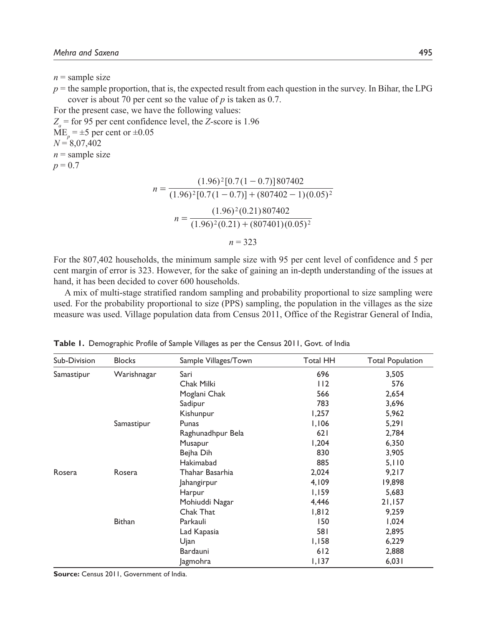$n =$ sample size

 $p =$  the sample proportion, that is, the expected result from each question in the survey. In Bihar, the LPG cover is about 70 per cent so the value of *p* is taken as 0.7.

For the present case, we have the following values:

 $Z_a$  = for 95 per cent confidence level, the *Z*-score is 1.96  $ME_p = \pm 5$  per cent or  $\pm 0.05$  $N = 8,07,402$  $n =$ sample size  $p = 0.7$ 

$$
n = \frac{(1.96)^2 [0.7(1-0.7)]807402}{(1.96)^2 [0.7(1-0.7)] + (807402 - 1)(0.05)^2}
$$

$$
n = \frac{(1.96)^2 (0.21)807402}{(1.96)^2 (0.21) + (807401)(0.05)^2}
$$

$$
n = 323
$$

For the 807,402 households, the minimum sample size with 95 per cent level of confidence and 5 per cent margin of error is 323. However, for the sake of gaining an in-depth understanding of the issues at hand, it has been decided to cover 600 households.

A mix of multi-stage stratified random sampling and probability proportional to size sampling were used. For the probability proportional to size (PPS) sampling, the population in the villages as the size measure was used. Village population data from Census 2011, Office of the Registrar General of India,

| Sub-Division | <b>Blocks</b> | Sample Villages/Town | Total HH | <b>Total Population</b> |
|--------------|---------------|----------------------|----------|-------------------------|
| Samastipur   | Warishnagar   | Sari                 | 696      | 3,505                   |
|              |               | Chak Milki           | 112      | 576                     |
|              |               | Moglani Chak         | 566      | 2,654                   |
|              |               | Sadipur              | 783      | 3,696                   |
|              |               | Kishunpur            | 1,257    | 5,962                   |
|              | Samastipur    | Punas                | 1,106    | 5,291                   |
|              |               | Raghunadhpur Bela    | 621      | 2,784                   |
|              |               | Musapur              | 1,204    | 6,350                   |
|              |               | Bejha Dih            | 830      | 3,905                   |
|              |               | Hakimabad            | 885      | 5,110                   |
| Rosera       | Rosera        | Thahar Basarhia      | 2,024    | 9,217                   |
|              |               | Jahangirpur          | 4,109    | 19,898                  |
|              |               | Harpur               | 1,159    | 5,683                   |
|              |               | Mohiuddi Nagar       | 4,446    | 21,157                  |
|              |               | Chak That            | 1,812    | 9,259                   |
|              | <b>Bithan</b> | Parkauli             | 150      | 1,024                   |
|              |               | Lad Kapasia          | 581      | 2,895                   |
|              |               | Ujan                 | 1,158    | 6,229                   |
|              |               | Bardauni             | 612      | 2,888                   |
|              |               | <b>Jagmohra</b>      | 1,137    | 6,031                   |

**Table 1.** Demographic Profile of Sample Villages as per the Census 2011, Govt. of India

**Source:** Census 2011, Government of India.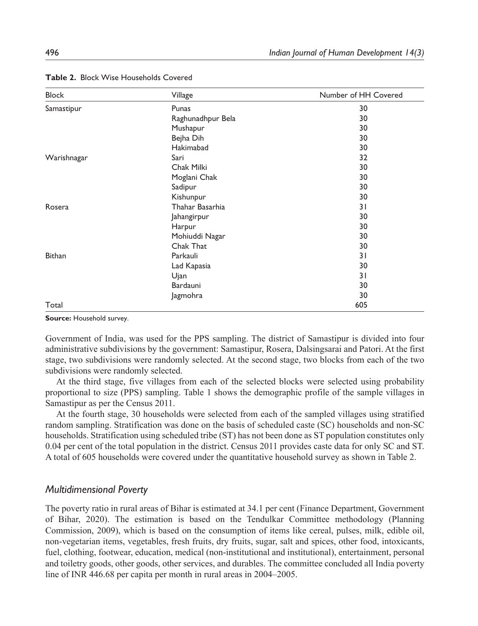| <b>Block</b>  | Village           | Number of HH Covered |
|---------------|-------------------|----------------------|
| Samastipur    | Punas             | 30                   |
|               | Raghunadhpur Bela | 30                   |
|               | Mushapur          | 30                   |
|               | Bejha Dih         | 30                   |
|               | Hakimabad         | 30                   |
| Warishnagar   | Sari              | 32                   |
|               | Chak Milki        | 30                   |
|               | Moglani Chak      | 30                   |
|               | Sadipur           | 30                   |
|               | Kishunpur         | 30                   |
| Rosera        | Thahar Basarhia   | 31                   |
|               | Jahangirpur       | 30                   |
|               | Harpur            | 30                   |
|               | Mohiuddi Nagar    | 30                   |
|               | Chak That         | 30                   |
| <b>Bithan</b> | Parkauli          | 31                   |
|               | Lad Kapasia       | 30                   |
|               | Ujan              | 31                   |
|               | Bardauni          | 30                   |
|               | Jagmohra          | 30                   |
| Total         |                   | 605                  |

**Table 2.** Block Wise Households Covered

**Source:** Household survey.

Government of India, was used for the PPS sampling. The district of Samastipur is divided into four administrative subdivisions by the government: Samastipur, Rosera, Dalsingsarai and Patori. At the first stage, two subdivisions were randomly selected. At the second stage, two blocks from each of the two subdivisions were randomly selected.

At the third stage, five villages from each of the selected blocks were selected using probability proportional to size (PPS) sampling. Table 1 shows the demographic profile of the sample villages in Samastipur as per the Census 2011.

At the fourth stage, 30 households were selected from each of the sampled villages using stratified random sampling. Stratification was done on the basis of scheduled caste (SC) households and non-SC households. Stratification using scheduled tribe (ST) has not been done as ST population constitutes only 0.04 per cent of the total population in the district. Census 2011 provides caste data for only SC and ST. A total of 605 households were covered under the quantitative household survey as shown in Table 2.

## *Multidimensional Poverty*

The poverty ratio in rural areas of Bihar is estimated at 34.1 per cent (Finance Department, Government of Bihar, 2020). The estimation is based on the Tendulkar Committee methodology (Planning Commission, 2009), which is based on the consumption of items like cereal, pulses, milk, edible oil, non-vegetarian items, vegetables, fresh fruits, dry fruits, sugar, salt and spices, other food, intoxicants, fuel, clothing, footwear, education, medical (non-institutional and institutional), entertainment, personal and toiletry goods, other goods, other services, and durables. The committee concluded all India poverty line of INR 446.68 per capita per month in rural areas in 2004–2005.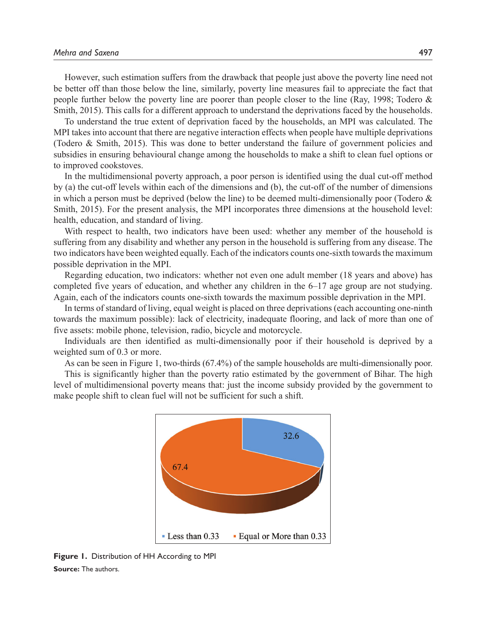However, such estimation suffers from the drawback that people just above the poverty line need not be better off than those below the line, similarly, poverty line measures fail to appreciate the fact that people further below the poverty line are poorer than people closer to the line (Ray, 1998; Todero & Smith, 2015). This calls for a different approach to understand the deprivations faced by the households.

To understand the true extent of deprivation faced by the households, an MPI was calculated. The MPI takes into account that there are negative interaction effects when people have multiple deprivations (Todero & Smith, 2015). This was done to better understand the failure of government policies and subsidies in ensuring behavioural change among the households to make a shift to clean fuel options or to improved cookstoves.

In the multidimensional poverty approach, a poor person is identified using the dual cut-off method by (a) the cut-off levels within each of the dimensions and (b), the cut-off of the number of dimensions in which a person must be deprived (below the line) to be deemed multi-dimensionally poor (Todero  $\&$ Smith, 2015). For the present analysis, the MPI incorporates three dimensions at the household level: health, education, and standard of living.

With respect to health, two indicators have been used: whether any member of the household is suffering from any disability and whether any person in the household is suffering from any disease. The two indicators have been weighted equally. Each of the indicators counts one-sixth towards the maximum possible deprivation in the MPI.

Regarding education, two indicators: whether not even one adult member (18 years and above) has completed five years of education, and whether any children in the 6–17 age group are not studying. Again, each of the indicators counts one-sixth towards the maximum possible deprivation in the MPI.

In terms of standard of living, equal weight is placed on three deprivations (each accounting one-ninth towards the maximum possible): lack of electricity, inadequate flooring, and lack of more than one of five assets: mobile phone, television, radio, bicycle and motorcycle.

Individuals are then identified as multi-dimensionally poor if their household is deprived by a weighted sum of 0.3 or more.

As can be seen in Figure 1, two-thirds (67.4%) of the sample households are multi-dimensionally poor.

This is significantly higher than the poverty ratio estimated by the government of Bihar. The high level of multidimensional poverty means that: just the income subsidy provided by the government to make people shift to clean fuel will not be sufficient for such a shift.



**Figure 1.** Distribution of HH According to MPI **Source:** The authors.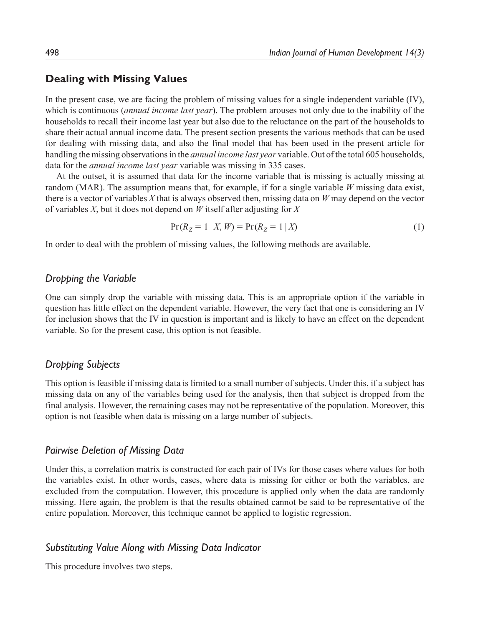## **Dealing with Missing Values**

In the present case, we are facing the problem of missing values for a single independent variable (IV), which is continuous (*annual income last year*). The problem arouses not only due to the inability of the households to recall their income last year but also due to the reluctance on the part of the households to share their actual annual income data. The present section presents the various methods that can be used for dealing with missing data, and also the final model that has been used in the present article for handling the missing observations in the *annual income last year* variable. Out of the total 605 households, data for the *annual income last year* variable was missing in 335 cases.

At the outset, it is assumed that data for the income variable that is missing is actually missing at random (MAR). The assumption means that, for example, if for a single variable *W* missing data exist, there is a vector of variables *X* that is always observed then, missing data on *W* may depend on the vector of variables *X*, but it does not depend on *W* itself after adjusting for *X*

$$
Pr(R_Z = 1 | X, W) = Pr(R_Z = 1 | X)
$$
\n(1)

In order to deal with the problem of missing values, the following methods are available.

## *Dropping the Variable*

One can simply drop the variable with missing data. This is an appropriate option if the variable in question has little effect on the dependent variable. However, the very fact that one is considering an IV for inclusion shows that the IV in question is important and is likely to have an effect on the dependent variable. So for the present case, this option is not feasible.

## *Dropping Subjects*

This option is feasible if missing data is limited to a small number of subjects. Under this, if a subject has missing data on any of the variables being used for the analysis, then that subject is dropped from the final analysis. However, the remaining cases may not be representative of the population. Moreover, this option is not feasible when data is missing on a large number of subjects.

#### *Pairwise Deletion of Missing Data*

Under this, a correlation matrix is constructed for each pair of IVs for those cases where values for both the variables exist. In other words, cases, where data is missing for either or both the variables, are excluded from the computation. However, this procedure is applied only when the data are randomly missing. Here again, the problem is that the results obtained cannot be said to be representative of the entire population. Moreover, this technique cannot be applied to logistic regression.

#### *Substituting Value Along with Missing Data Indicator*

This procedure involves two steps.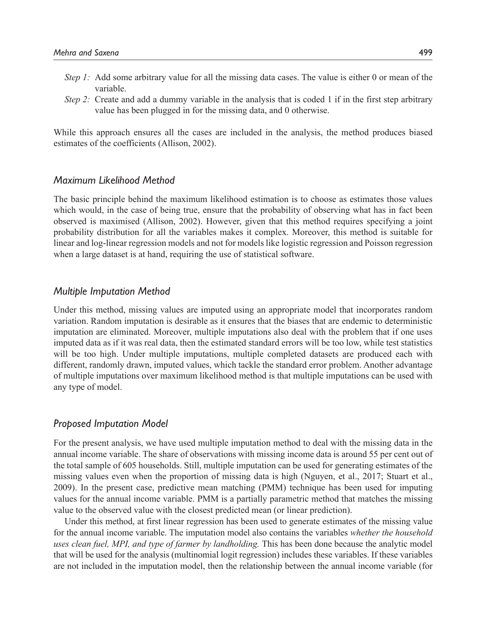- *Step 1:* Add some arbitrary value for all the missing data cases. The value is either 0 or mean of the variable.
- *Step 2:* Create and add a dummy variable in the analysis that is coded 1 if in the first step arbitrary value has been plugged in for the missing data, and 0 otherwise.

While this approach ensures all the cases are included in the analysis, the method produces biased estimates of the coefficients (Allison, 2002).

#### *Maximum Likelihood Method*

The basic principle behind the maximum likelihood estimation is to choose as estimates those values which would, in the case of being true, ensure that the probability of observing what has in fact been observed is maximised (Allison, 2002). However, given that this method requires specifying a joint probability distribution for all the variables makes it complex. Moreover, this method is suitable for linear and log-linear regression models and not for models like logistic regression and Poisson regression when a large dataset is at hand, requiring the use of statistical software.

#### *Multiple Imputation Method*

Under this method, missing values are imputed using an appropriate model that incorporates random variation. Random imputation is desirable as it ensures that the biases that are endemic to deterministic imputation are eliminated. Moreover, multiple imputations also deal with the problem that if one uses imputed data as if it was real data, then the estimated standard errors will be too low, while test statistics will be too high. Under multiple imputations, multiple completed datasets are produced each with different, randomly drawn, imputed values, which tackle the standard error problem. Another advantage of multiple imputations over maximum likelihood method is that multiple imputations can be used with any type of model.

#### *Proposed Imputation Model*

For the present analysis, we have used multiple imputation method to deal with the missing data in the annual income variable. The share of observations with missing income data is around 55 per cent out of the total sample of 605 households. Still, multiple imputation can be used for generating estimates of the missing values even when the proportion of missing data is high (Nguyen, et al., 2017; Stuart et al., 2009). In the present case, predictive mean matching (PMM) technique has been used for imputing values for the annual income variable. PMM is a partially parametric method that matches the missing value to the observed value with the closest predicted mean (or linear prediction).

Under this method, at first linear regression has been used to generate estimates of the missing value for the annual income variable. The imputation model also contains the variables *whether the household uses clean fuel, MPI, and type of farmer by landholding.* This has been done because the analytic model that will be used for the analysis (multinomial logit regression) includes these variables. If these variables are not included in the imputation model, then the relationship between the annual income variable (for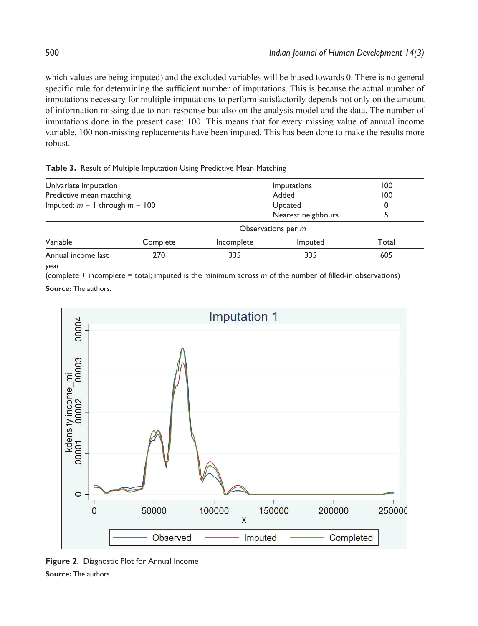which values are being imputed) and the excluded variables will be biased towards 0. There is no general specific rule for determining the sufficient number of imputations. This is because the actual number of imputations necessary for multiple imputations to perform satisfactorily depends not only on the amount of information missing due to non-response but also on the analysis model and the data. The number of imputations done in the present case: 100. This means that for every missing value of annual income variable, 100 non-missing replacements have been imputed. This has been done to make the results more robust.

|  |  |  | Table 3. Result of Multiple Imputation Using Predictive Mean Matching |
|--|--|--|-----------------------------------------------------------------------|
|--|--|--|-----------------------------------------------------------------------|

| Univariate imputation<br>Predictive mean matching |          | Imputations<br>Added |                    | 100   |
|---------------------------------------------------|----------|----------------------|--------------------|-------|
|                                                   |          |                      |                    | 100   |
| Imputed: $m = 1$ through $m = 100$                |          | Updated              |                    | 0     |
|                                                   |          |                      | Nearest neighbours |       |
|                                                   |          |                      | Observations per m |       |
| Variable                                          | Complete | Incomplete           | Imputed            | Total |
| Annual income last<br>year                        | 270      | 335                  | 335                | 605   |

(complete + incomplete = total; imputed is the minimum across *m* of the number of filled-in observations) **Source:** The authors.



**Figure 2.** Diagnostic Plot for Annual Income **Source:** The authors.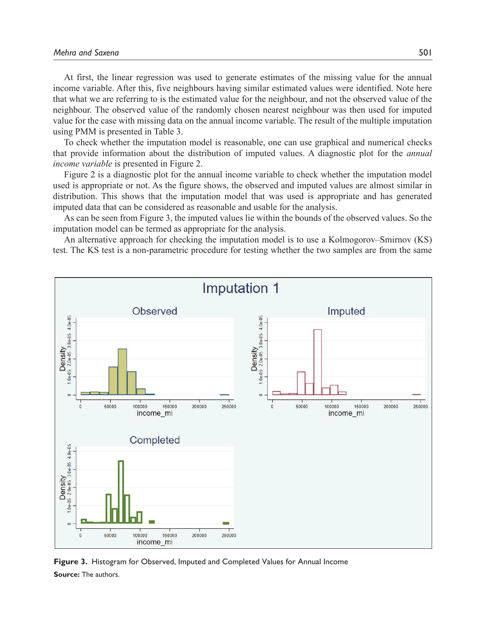At first, the linear regression was used to generate estimates of the missing value for the annual income variable. After this, five neighbours having similar estimated values were identified. Note here that what we are referring to is the estimated value for the neighbour, and not the observed value of the neighbour. The observed value of the randomly chosen nearest neighbour was then used for imputed value for the case with missing data on the annual income variable. The result of the multiple imputation using PMM is presented in Table 3.

To check whether the imputation model is reasonable, one can use graphical and numerical checks that provide information about the distribution of imputed values. A diagnostic plot for the *annual income variable* is presented in Figure 2.

Figure 2 is a diagnostic plot for the annual income variable to check whether the imputation model used is appropriate or not. As the figure shows, the observed and imputed values are almost similar in distribution. This shows that the imputation model that was used is appropriate and has generated imputed data that can be considered as reasonable and usable for the analysis.

As can be seen from Figure 3, the imputed values lie within the bounds of the observed values. So the imputation model can be termed as appropriate for the analysis.

An alternative approach for checking the imputation model is to use a Kolmogorov–Smirnov (KS) test. The KS test is a non-parametric procedure for testing whether the two samples are from the same



**Figure 3.** Histogram for Observed, Imputed and Completed Values for Annual Income **Source:** The authors.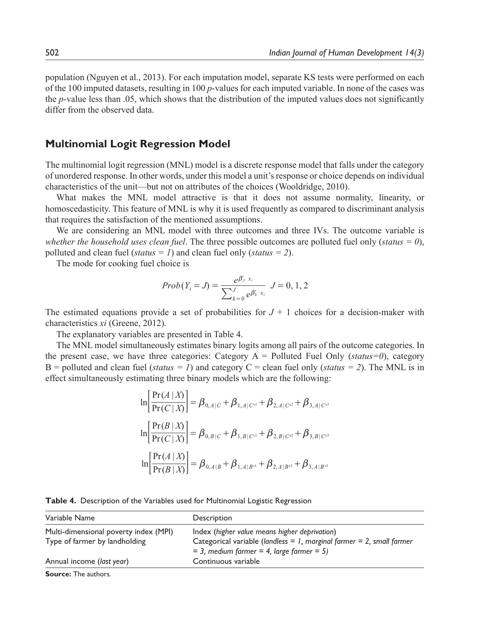population (Nguyen et al., 2013). For each imputation model, separate KS tests were performed on each of the 100 imputed datasets, resulting in 100 *p*-values for each imputed variable. In none of the cases was the *p*-value less than .05, which shows that the distribution of the imputed values does not significantly differ from the observed data.

## **Multinomial Logit Regression Model**

The multinomial logit regression (MNL) model is a discrete response model that falls under the category of unordered response. In other words, under this model a unit's response or choice depends on individual characteristics of the unit—but not on attributes of the choices (Wooldridge, 2010).

What makes the MNL model attractive is that it does not assume normality, linearity, or homoscedasticity. This feature of MNL is why it is used frequently as compared to discriminant analysis that requires the satisfaction of the mentioned assumptions.

We are considering an MNL model with three outcomes and three IVs. The outcome variable is *whether the household uses clean fuel*. The three possible outcomes are polluted fuel only (*status = 0*), polluted and clean fuel (*status = 1*) and clean fuel only (*status = 2*).

The mode for cooking fuel choice is

$$
Prob(Y_i = J) = \frac{e^{\beta_j x_i}}{\sum_{k=0}^{J} e^{\beta_k' x_i}} J = 0, 1, 2
$$

The estimated equations provide a set of probabilities for  $J + 1$  choices for a decision-maker with characteristics *xi* (Greene, 2012)*.*

The explanatory variables are presented in Table 4.

The MNL model simultaneously estimates binary logits among all pairs of the outcome categories. In the present case, we have three categories: Category A = Polluted Fuel Only (*status=0*), category B = polluted and clean fuel (*status* = 1) and category C = clean fuel only (*status* = 2). The MNL is in effect simultaneously estimating three binary models which are the following:

$$
\ln\left[\frac{\Pr(A|X)}{\Pr(C|X)}\right] = \beta_{0,A|C} + \beta_{1,A|C^{x1}} + \beta_{2,A|C^{x2}} + \beta_{3,A|C^{x3}}
$$

$$
\ln\left[\frac{\Pr(B|X)}{\Pr(C|X)}\right] = \beta_{0,B|C} + \beta_{1,B|C^{x1}} + \beta_{2,B|C^{x2}} + \beta_{3,B|C^{x3}}
$$

$$
\ln\left[\frac{\Pr(A|X)}{\Pr(B|X)}\right] = \beta_{0,A|B} + \beta_{1,A|B^{x1}} + \beta_{2,A|B^{x2}} + \beta_{3,A|B^{x3}}
$$

|  | Table 4. Description of the Variables used for Multinomial Logistic Regression |  |  |  |  |  |
|--|--------------------------------------------------------------------------------|--|--|--|--|--|
|--|--------------------------------------------------------------------------------|--|--|--|--|--|

| Variable Name                         | Description                                                           |
|---------------------------------------|-----------------------------------------------------------------------|
| Multi-dimensional poverty index (MPI) | Index (higher value means higher deprivation)                         |
| Type of farmer by landholding         | Categorical variable (landless = 1, marginal farmer = 2, small farmer |
|                                       | $=$ 3, medium farmer $=$ 4, large farmer $=$ 5)                       |
| Annual income (last year)             | Continuous variable                                                   |
|                                       |                                                                       |

**Source:** The authors.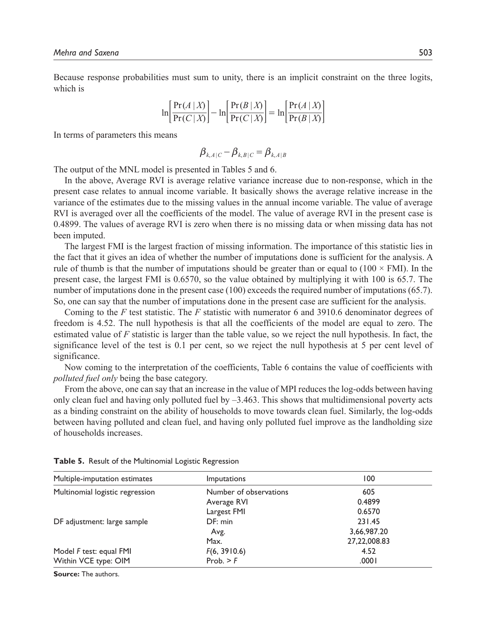Because response probabilities must sum to unity, there is an implicit constraint on the three logits, which is

$$
\ln\left[\frac{\Pr(A \mid X)}{\Pr(C \mid X)}\right] - \ln\left[\frac{\Pr(B \mid X)}{\Pr(C \mid X)}\right] = \ln\left[\frac{\Pr(A \mid X)}{\Pr(B \mid X)}\right]
$$

In terms of parameters this means

$$
\pmb{\beta}_{k,A|C} \!-\! \pmb{\beta}_{k,B|C} \!=\! \pmb{\beta}_{k,A|B}
$$

The output of the MNL model is presented in Tables 5 and 6.

In the above, Average RVI is average relative variance increase due to non-response, which in the present case relates to annual income variable. It basically shows the average relative increase in the variance of the estimates due to the missing values in the annual income variable. The value of average RVI is averaged over all the coefficients of the model. The value of average RVI in the present case is 0.4899. The values of average RVI is zero when there is no missing data or when missing data has not been imputed.

The largest FMI is the largest fraction of missing information. The importance of this statistic lies in the fact that it gives an idea of whether the number of imputations done is sufficient for the analysis. A rule of thumb is that the number of imputations should be greater than or equal to  $(100 \times FMI)$ . In the present case, the largest FMI is 0.6570, so the value obtained by multiplying it with 100 is 65.7. The number of imputations done in the present case (100) exceeds the required number of imputations (65.7). So, one can say that the number of imputations done in the present case are sufficient for the analysis.

Coming to the *F* test statistic. The *F* statistic with numerator 6 and 3910.6 denominator degrees of freedom is 4.52. The null hypothesis is that all the coefficients of the model are equal to zero. The estimated value of *F* statistic is larger than the table value, so we reject the null hypothesis. In fact, the significance level of the test is 0.1 per cent, so we reject the null hypothesis at 5 per cent level of significance.

Now coming to the interpretation of the coefficients, Table 6 contains the value of coefficients with *polluted fuel only* being the base category.

From the above, one can say that an increase in the value of MPI reduces the log-odds between having only clean fuel and having only polluted fuel by  $-3.463$ . This shows that multidimensional poverty acts as a binding constraint on the ability of households to move towards clean fuel. Similarly, the log-odds between having polluted and clean fuel, and having only polluted fuel improve as the landholding size of households increases.

| Multiple-imputation estimates   | <i>Imputations</i>     | 100          |
|---------------------------------|------------------------|--------------|
| Multinomial logistic regression | Number of observations | 605          |
|                                 | Average RVI            | 0.4899       |
|                                 | Largest FMI            | 0.6570       |
| DF adjustment: large sample     | DF: min                | 231.45       |
|                                 | Avg.                   | 3,66,987.20  |
|                                 | Max.                   | 27,22,008.83 |
| Model F test: equal FMI         | F(6, 3910.6)           | 4.52         |
| Within VCE type: OIM            | Prob. > F              | ا 000.       |

**Table 5.** Result of the Multinomial Logistic Regression

**Source:** The authors.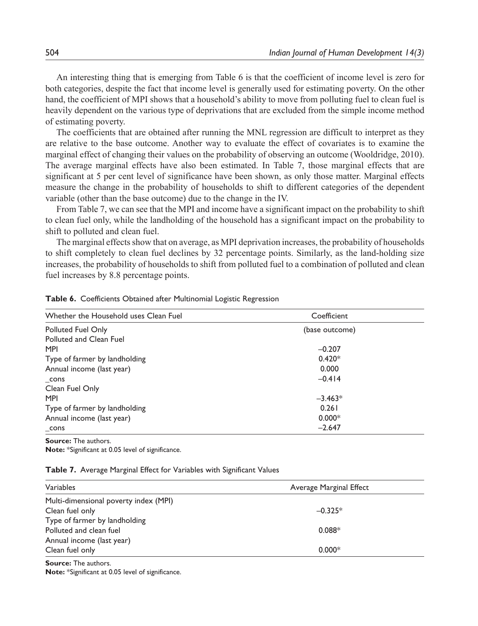An interesting thing that is emerging from Table 6 is that the coefficient of income level is zero for both categories, despite the fact that income level is generally used for estimating poverty. On the other hand, the coefficient of MPI shows that a household's ability to move from polluting fuel to clean fuel is heavily dependent on the various type of deprivations that are excluded from the simple income method of estimating poverty.

The coefficients that are obtained after running the MNL regression are difficult to interpret as they are relative to the base outcome. Another way to evaluate the effect of covariates is to examine the marginal effect of changing their values on the probability of observing an outcome (Wooldridge, 2010). The average marginal effects have also been estimated. In Table 7, those marginal effects that are significant at 5 per cent level of significance have been shown, as only those matter. Marginal effects measure the change in the probability of households to shift to different categories of the dependent variable (other than the base outcome) due to the change in the IV.

From Table 7, we can see that the MPI and income have a significant impact on the probability to shift to clean fuel only, while the landholding of the household has a significant impact on the probability to shift to polluted and clean fuel.

The marginal effects show that on average, as MPI deprivation increases, the probability of households to shift completely to clean fuel declines by 32 percentage points. Similarly, as the land-holding size increases, the probability of households to shift from polluted fuel to a combination of polluted and clean fuel increases by 8.8 percentage points.

| Whether the Household uses Clean Fuel | Coefficient    |  |
|---------------------------------------|----------------|--|
| Polluted Fuel Only                    | (base outcome) |  |
| Polluted and Clean Fuel               |                |  |
| <b>MPI</b>                            | $-0.207$       |  |
| Type of farmer by landholding         | $0.420*$       |  |
| Annual income (last year)             | 0.000          |  |
| cons                                  | $-0.414$       |  |
| Clean Fuel Only                       |                |  |
| <b>MPI</b>                            | $-3.463*$      |  |
| Type of farmer by landholding         | 0.261          |  |
| Annual income (last year)             | $0.000*$       |  |
| cons                                  | $-2.647$       |  |

**Table 6.** Coefficients Obtained after Multinomial Logistic Regression

**Source:** The authors.

**Note:** \*Significant at 0.05 level of significance.

#### **Table 7.** Average Marginal Effect for Variables with Significant Values

| Variables                             | Average Marginal Effect |
|---------------------------------------|-------------------------|
| Multi-dimensional poverty index (MPI) |                         |
| Clean fuel only                       | $-0.325*$               |
| Type of farmer by landholding         |                         |
| Polluted and clean fuel               | $0.088*$                |
| Annual income (last year)             |                         |
| Clean fuel only                       | $0.000*$                |

**Source:** The authors.

**Note:** \*Significant at 0.05 level of significance.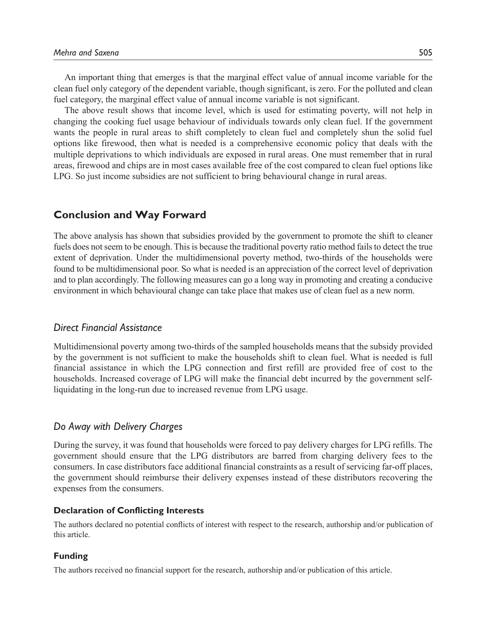An important thing that emerges is that the marginal effect value of annual income variable for the clean fuel only category of the dependent variable, though significant, is zero. For the polluted and clean fuel category, the marginal effect value of annual income variable is not significant.

The above result shows that income level, which is used for estimating poverty, will not help in changing the cooking fuel usage behaviour of individuals towards only clean fuel. If the government wants the people in rural areas to shift completely to clean fuel and completely shun the solid fuel options like firewood, then what is needed is a comprehensive economic policy that deals with the multiple deprivations to which individuals are exposed in rural areas. One must remember that in rural areas, firewood and chips are in most cases available free of the cost compared to clean fuel options like LPG. So just income subsidies are not sufficient to bring behavioural change in rural areas.

## **Conclusion and Way Forward**

The above analysis has shown that subsidies provided by the government to promote the shift to cleaner fuels does not seem to be enough. This is because the traditional poverty ratio method fails to detect the true extent of deprivation. Under the multidimensional poverty method, two-thirds of the households were found to be multidimensional poor. So what is needed is an appreciation of the correct level of deprivation and to plan accordingly. The following measures can go a long way in promoting and creating a conducive environment in which behavioural change can take place that makes use of clean fuel as a new norm.

## *Direct Financial Assistance*

Multidimensional poverty among two-thirds of the sampled households means that the subsidy provided by the government is not sufficient to make the households shift to clean fuel. What is needed is full financial assistance in which the LPG connection and first refill are provided free of cost to the households. Increased coverage of LPG will make the financial debt incurred by the government selfliquidating in the long-run due to increased revenue from LPG usage.

## *Do Away with Delivery Charges*

During the survey, it was found that households were forced to pay delivery charges for LPG refills. The government should ensure that the LPG distributors are barred from charging delivery fees to the consumers. In case distributors face additional financial constraints as a result of servicing far-off places, the government should reimburse their delivery expenses instead of these distributors recovering the expenses from the consumers.

#### **Declaration of Conflicting Interests**

The authors declared no potential conflicts of interest with respect to the research, authorship and/or publication of this article.

#### **Funding**

The authors received no financial support for the research, authorship and/or publication of this article.